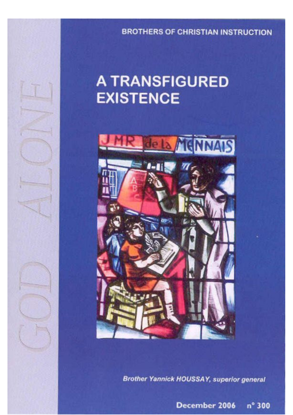**BROTHERS OF CHRISTIAN INSTRUCTION** 

# **A TRANSFIGURED EXISTENCE**



**Brother Yannick HOUSSAY, superior general** 

December 2006 n° 300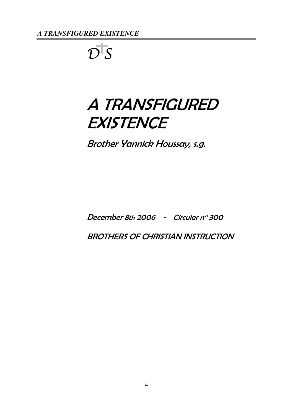$\overline{\mathcal{D}}$  S

# A TRANSFIGURED **EXISTENCE**

Brother Yannick Houssay, s.g.

December 8th 2006 - Circular n° 300

BROTHERS OF CHRISTIAN INSTRUCTION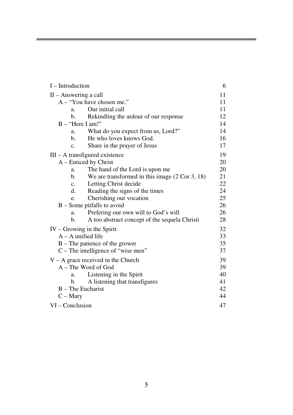| $I$ – Introduction                                     | 6  |
|--------------------------------------------------------|----|
| $II -$ Answering a call                                | 11 |
| A – "You have chosen me."                              | 11 |
| Our initial call<br>a.                                 | 11 |
| b.<br>Rekindling the ardour of our response            | 12 |
| $B - "Here I am!"$                                     | 14 |
| What do you expect from us, Lord?"<br>a.               | 14 |
| He who loves knows God.<br>b.                          | 16 |
| Share in the prayer of Jesus<br>c.                     | 17 |
| $III - A$ transfigured existence                       | 19 |
| A – Enticed by Christ                                  | 20 |
| The hand of the Lord is upon me<br>a.                  | 20 |
| We are transformed in this image $(2 Cor 3, 18)$<br>b. | 21 |
| Letting Christ decide<br>$\mathbf{c}$ .                | 22 |
| Reading the signs of the times<br>d.                   | 24 |
| Cherishing our vocation<br>e.                          | 25 |
| $B$ – Some pitfalls to avoid                           | 26 |
| Prefering our own will to God's will<br>a.             | 26 |
| A too abstract concept of the sequela Christi<br>b.    | 28 |
| $IV - Growing$ in the Spirit                           | 32 |
| $A - A$ unified life                                   | 33 |
| $B$ – The patience of the grower                       | 35 |
| $C$ – The intelligence of "wise men"                   | 37 |
| $V - A$ grace received in the Church                   | 39 |
| $A$ – The Word of God                                  | 39 |
| Listening in the Spirit<br>a.                          | 40 |
| A listening that transfigures<br>b.                    | 41 |
| $B$ – The Eucharist                                    | 42 |
| $C - Mary$                                             | 44 |
| VI – Conclusion                                        | 47 |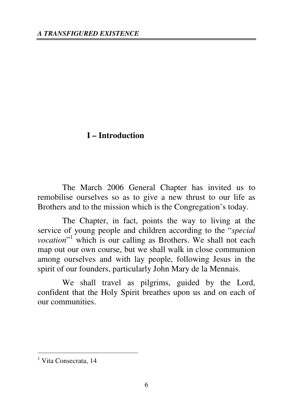# **I – Introduction**

The March 2006 General Chapter has invited us to remobilise ourselves so as to give a new thrust to our life as Brothers and to the mission which is the Congregation's today.

The Chapter, in fact, points the way to living at the service of young people and children according to the "*special*  vocation"<sup>1</sup> which is our calling as Brothers. We shall not each map out our own course, but we shall walk in close communion among ourselves and with lay people, following Jesus in the spirit of our founders, particularly John Mary de la Mennais.

We shall travel as pilgrims, guided by the Lord, confident that the Holy Spirit breathes upon us and on each of our communities.

<sup>&</sup>lt;sup>1</sup> Vita Consecrata, 14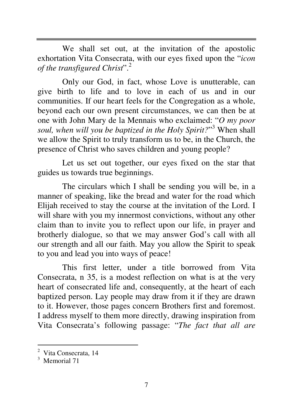We shall set out, at the invitation of the apostolic exhortation Vita Consecrata, with our eyes fixed upon the "*icon of the transfigured Christ*".<sup>2</sup>

Only our God, in fact, whose Love is unutterable, can give birth to life and to love in each of us and in our communities. If our heart feels for the Congregation as a whole, beyond each our own present circumstances, we can then be at one with John Mary de la Mennais who exclaimed: "*O my poor*  soul, when will you be baptized in the Holy Spirit?"<sup>3</sup> When shall we allow the Spirit to truly transform us to be, in the Church, the presence of Christ who saves children and young people?

Let us set out together, our eyes fixed on the star that guides us towards true beginnings.

The circulars which I shall be sending you will be, in a manner of speaking, like the bread and water for the road which Elijah received to stay the course at the invitation of the Lord. I will share with you my innermost convictions, without any other claim than to invite you to reflect upon our life, in prayer and brotherly dialogue, so that we may answer God's call with all our strength and all our faith. May you allow the Spirit to speak to you and lead you into ways of peace!

This first letter, under a title borrowed from Vita Consecrata, n 35, is a modest reflection on what is at the very heart of consecrated life and, consequently, at the heart of each baptized person. Lay people may draw from it if they are drawn to it. However, those pages concern Brothers first and foremost. I address myself to them more directly, drawing inspiration from Vita Consecrata's following passage: "*The fact that all are* 

<sup>&</sup>lt;sup>2</sup> Vita Consecrata, 14

<sup>&</sup>lt;sup>3</sup> Memorial 71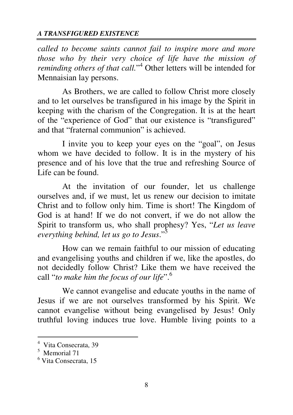*called to become saints cannot fail to inspire more and more those who by their very choice of life have the mission of*  reminding others of that call."<sup>4</sup> Other letters will be intended for Mennaisian lay persons.

As Brothers, we are called to follow Christ more closely and to let ourselves be transfigured in his image by the Spirit in keeping with the charism of the Congregation. It is at the heart of the "experience of God" that our existence is "transfigured" and that "fraternal communion" is achieved.

I invite you to keep your eyes on the "goal", on Jesus whom we have decided to follow. It is in the mystery of his presence and of his love that the true and refreshing Source of Life can be found.

At the invitation of our founder, let us challenge ourselves and, if we must, let us renew our decision to imitate Christ and to follow only him. Time is short! The Kingdom of God is at hand! If we do not convert, if we do not allow the Spirit to transform us, who shall prophesy? Yes, "*Let us leave everything behind, let us go to Jesus*."<sup>5</sup>

How can we remain faithful to our mission of educating and evangelising youths and children if we, like the apostles, do not decidedly follow Christ? Like them we have received the call "*to make him the focus of our life*".<sup>6</sup>

We cannot evangelise and educate youths in the name of Jesus if we are not ourselves transformed by his Spirit. We cannot evangelise without being evangelised by Jesus! Only truthful loving induces true love. Humble living points to a

<sup>4</sup> Vita Consecrata, 39

<sup>5</sup> Memorial 71

<sup>6</sup> Vita Consecrata, 15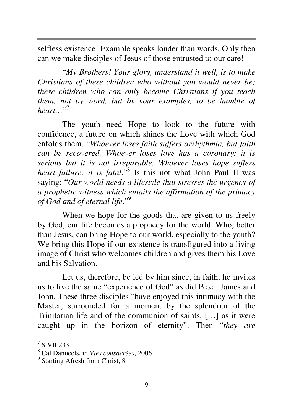selfless existence! Example speaks louder than words. Only then can we make disciples of Jesus of those entrusted to our care!

"*My Brothers! Your glory, understand it well, is to make Christians of these children who without you would never be; these children who can only become Christians if you teach them, not by word, but by your examples, to be humble of heart…*" 7

The youth need Hope to look to the future with confidence, a future on which shines the Love with which God enfolds them. "*Whoever loses faith suffers arrhythmia, but faith can be recovered. Whoever loses love has a coronary: it is serious but it is not irreparable. Whoever loses hope suffers*  heart failure: it is fatal.<sup>58</sup> Is this not what John Paul II was saying: "*Our world needs a lifestyle that stresses the urgency of a prophetic witness which entails the affirmation of the primacy of God and of eternal life*."<sup>9</sup>

When we hope for the goods that are given to us freely by God, our life becomes a prophecy for the world. Who, better than Jesus, can bring Hope to our world, especially to the youth? We bring this Hope if our existence is transfigured into a living image of Christ who welcomes children and gives them his Love and his Salvation.

Let us, therefore, be led by him since, in faith, he invites us to live the same "experience of God" as did Peter, James and John. These three disciples "have enjoyed this intimacy with the Master, surrounded for a moment by the splendour of the Trinitarian life and of the communion of saints, […] as it were caught up in the horizon of eternity". Then "*they are* 

<sup>7</sup> S VII 2331

<sup>8</sup> Cal Danneels, in *Vies consacrées*, 2006

<sup>&</sup>lt;sup>9</sup> Starting Afresh from Christ, 8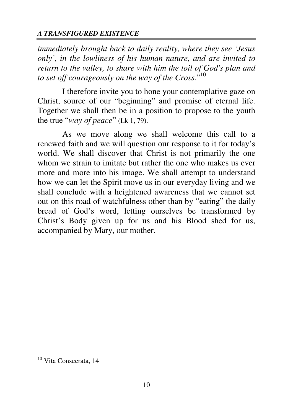*immediately brought back to daily reality, where they see 'Jesus only', in the lowliness of his human nature, and are invited to return to the valley, to share with him the toil of God's plan and to set off courageously on the way of the Cross.*" 10

I therefore invite you to hone your contemplative gaze on Christ, source of our "beginning" and promise of eternal life. Together we shall then be in a position to propose to the youth the true "*way of peace*" (Lk 1, 79).

As we move along we shall welcome this call to a renewed faith and we will question our response to it for today's world. We shall discover that Christ is not primarily the one whom we strain to imitate but rather the one who makes us ever more and more into his image. We shall attempt to understand how we can let the Spirit move us in our everyday living and we shall conclude with a heightened awareness that we cannot set out on this road of watchfulness other than by "eating" the daily bread of God's word, letting ourselves be transformed by Christ's Body given up for us and his Blood shed for us, accompanied by Mary, our mother.

<sup>&</sup>lt;sup>10</sup> Vita Consecrata, 14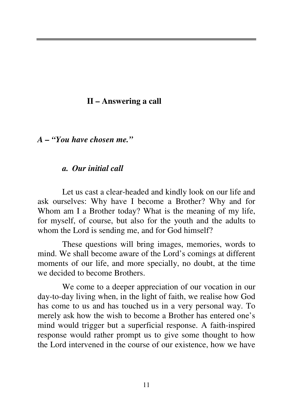## **II – Answering a call**

*A – "You have chosen me."* 

## *a. Our initial call*

 Let us cast a clear-headed and kindly look on our life and ask ourselves: Why have I become a Brother? Why and for Whom am I a Brother today? What is the meaning of my life, for myself, of course, but also for the youth and the adults to whom the Lord is sending me, and for God himself?

 These questions will bring images, memories, words to mind. We shall become aware of the Lord's comings at different moments of our life, and more specially, no doubt, at the time we decided to become Brothers.

 We come to a deeper appreciation of our vocation in our day-to-day living when, in the light of faith, we realise how God has come to us and has touched us in a very personal way. To merely ask how the wish to become a Brother has entered one's mind would trigger but a superficial response. A faith-inspired response would rather prompt us to give some thought to how the Lord intervened in the course of our existence, how we have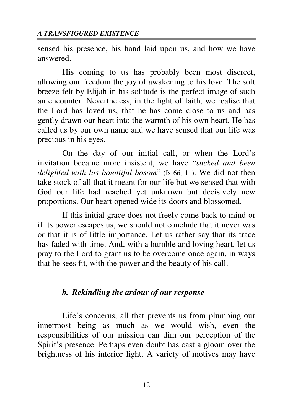sensed his presence, his hand laid upon us, and how we have answered.

His coming to us has probably been most discreet, allowing our freedom the joy of awakening to his love. The soft breeze felt by Elijah in his solitude is the perfect image of such an encounter. Nevertheless, in the light of faith, we realise that the Lord has loved us, that he has come close to us and has gently drawn our heart into the warmth of his own heart. He has called us by our own name and we have sensed that our life was precious in his eyes.

On the day of our initial call, or when the Lord's invitation became more insistent, we have "*sucked and been delighted with his bountiful bosom*" (Is 66, 11). We did not then take stock of all that it meant for our life but we sensed that with God our life had reached yet unknown but decisively new proportions. Our heart opened wide its doors and blossomed.

If this initial grace does not freely come back to mind or if its power escapes us, we should not conclude that it never was or that it is of little importance. Let us rather say that its trace has faded with time. And, with a humble and loving heart, let us pray to the Lord to grant us to be overcome once again, in ways that he sees fit, with the power and the beauty of his call.

## *b. Rekindling the ardour of our response*

Life's concerns, all that prevents us from plumbing our innermost being as much as we would wish, even the responsibilities of our mission can dim our perception of the Spirit's presence. Perhaps even doubt has cast a gloom over the brightness of his interior light. A variety of motives may have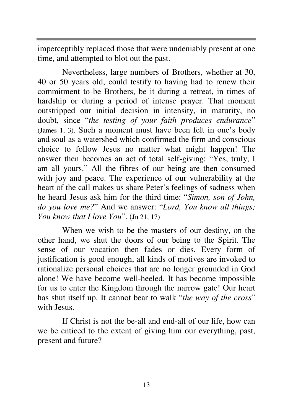imperceptibly replaced those that were undeniably present at one time, and attempted to blot out the past.

Nevertheless, large numbers of Brothers, whether at 30, 40 or 50 years old, could testify to having had to renew their commitment to be Brothers, be it during a retreat, in times of hardship or during a period of intense prayer. That moment outstripped our initial decision in intensity, in maturity, no doubt, since "*the testing of your faith produces endurance*" (James 1, 3). Such a moment must have been felt in one's body and soul as a watershed which confirmed the firm and conscious choice to follow Jesus no matter what might happen! The answer then becomes an act of total self-giving: "Yes, truly, I am all yours." All the fibres of our being are then consumed with joy and peace. The experience of our vulnerability at the heart of the call makes us share Peter's feelings of sadness when he heard Jesus ask him for the third time: "*Simon, son of John, do you love me?*" And we answer: "*Lord, You know all things; You know that I love You*". (Jn 21, 17)

When we wish to be the masters of our destiny, on the other hand, we shut the doors of our being to the Spirit. The sense of our vocation then fades or dies. Every form of justification is good enough, all kinds of motives are invoked to rationalize personal choices that are no longer grounded in God alone! We have become well-heeled. It has become impossible for us to enter the Kingdom through the narrow gate! Our heart has shut itself up. It cannot bear to walk "*the way of the cross*" with Jesus.

If Christ is not the be-all and end-all of our life, how can we be enticed to the extent of giving him our everything, past, present and future?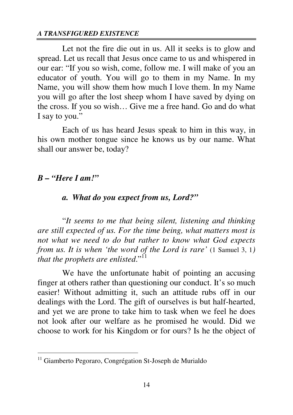Let not the fire die out in us. All it seeks is to glow and spread. Let us recall that Jesus once came to us and whispered in our ear: "If you so wish, come, follow me. I will make of you an educator of youth. You will go to them in my Name. In my Name, you will show them how much I love them. In my Name you will go after the lost sheep whom I have saved by dying on the cross. If you so wish… Give me a free hand. Go and do what I say to you."

Each of us has heard Jesus speak to him in this way, in his own mother tongue since he knows us by our name. What shall our answer be, today?

## *B – "Here I am!"*

 $\overline{a}$ 

## *a. What do you expect from us, Lord?"*

"*It seems to me that being silent, listening and thinking are still expected of us. For the time being, what matters most is not what we need to do but rather to know what God expects from us. It is when 'the word of the Lord is rare'* (1 Samuel 3, 1*) that the prophets are enlisted.*"<sup>11</sup>

We have the unfortunate habit of pointing an accusing finger at others rather than questioning our conduct. It's so much easier! Without admitting it, such an attitude rubs off in our dealings with the Lord. The gift of ourselves is but half-hearted, and yet we are prone to take him to task when we feel he does not look after our welfare as he promised he would. Did we choose to work for his Kingdom or for ours? Is he the object of

<sup>11</sup> Giamberto Pegoraro, Congrégation St-Joseph de Murialdo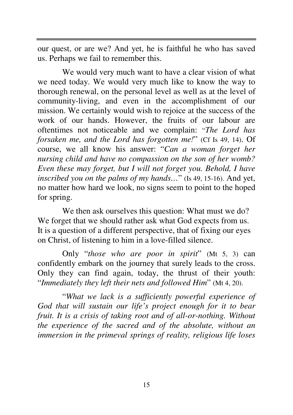our quest, or are we? And yet, he is faithful he who has saved us. Perhaps we fail to remember this.

We would very much want to have a clear vision of what we need today. We would very much like to know the way to thorough renewal, on the personal level as well as at the level of community-living, and even in the accomplishment of our mission. We certainly would wish to rejoice at the success of the work of our hands. However, the fruits of our labour are oftentimes not noticeable and we complain: "*The Lord has forsaken me, and the Lord has forgotten me!*" (Cf Is 49, 14). Of course, we all know his answer: "*Can a woman forget her nursing child and have no compassion on the son of her womb? Even these may forget, but I will not forget you. Behold, I have inscribed you on the palms of my hands…*" (Is 49, 15-16). And yet, no matter how hard we look, no signs seem to point to the hoped for spring.

We then ask ourselves this question: What must we do? We forget that we should rather ask what God expects from us. It is a question of a different perspective, that of fixing our eyes on Christ, of listening to him in a love-filled silence.

Only "*those who are poor in spirit*" (Mt 5, 3) can confidently embark on the journey that surely leads to the cross. Only they can find again, today, the thrust of their youth: "*Immediately they left their nets and followed Him*" (Mt 4, 20).

"*What we lack is a sufficiently powerful experience of God that will sustain our life's project enough for it to bear fruit. It is a crisis of taking root and of all-or-nothing. Without the experience of the sacred and of the absolute, without an immersion in the primeval springs of reality, religious life loses*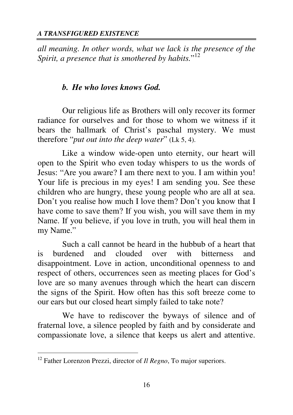*all meaning. In other words, what we lack is the presence of the*  Spirit, a presence that is smothered by habits."<sup>12</sup>

## *b. He who loves knows God.*

Our religious life as Brothers will only recover its former radiance for ourselves and for those to whom we witness if it bears the hallmark of Christ's paschal mystery. We must therefore "*put out into the deep water*" (Lk 5, 4).

Like a window wide-open unto eternity, our heart will open to the Spirit who even today whispers to us the words of Jesus: "Are you aware? I am there next to you. I am within you! Your life is precious in my eyes! I am sending you. See these children who are hungry, these young people who are all at sea. Don't you realise how much I love them? Don't you know that I have come to save them? If you wish, you will save them in my Name. If you believe, if you love in truth, you will heal them in my Name."

Such a call cannot be heard in the hubbub of a heart that is burdened and clouded over with bitterness and disappointment. Love in action, unconditional openness to and respect of others, occurrences seen as meeting places for God's love are so many avenues through which the heart can discern the signs of the Spirit. How often has this soft breeze come to our ears but our closed heart simply failed to take note?

We have to rediscover the byways of silence and of fraternal love, a silence peopled by faith and by considerate and compassionate love, a silence that keeps us alert and attentive.

<sup>12</sup> Father Lorenzon Prezzi, director of *Il Regno*, To major superiors.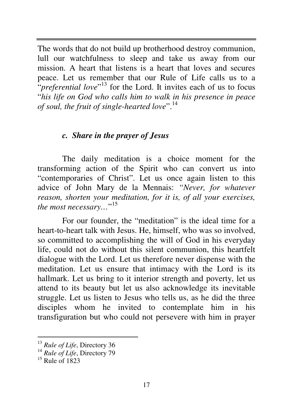The words that do not build up brotherhood destroy communion, lull our watchfulness to sleep and take us away from our mission. A heart that listens is a heart that loves and secures peace. Let us remember that our Rule of Life calls us to a *<sup>"</sup>preferential love*"<sup>13</sup> for the Lord. It invites each of us to focus "*his life on God who calls him to walk in his presence in peace of soul, the fruit of single-hearted love*".<sup>14</sup>

## *c. Share in the prayer of Jesus*

The daily meditation is a choice moment for the transforming action of the Spirit who can convert us into "contemporaries of Christ". Let us once again listen to this advice of John Mary de la Mennais: *"Never, for whatever reason, shorten your meditation, for it is, of all your exercises, the most necessary…*" 15

For our founder, the "meditation" is the ideal time for a heart-to-heart talk with Jesus. He, himself, who was so involved, so committed to accomplishing the will of God in his everyday life, could not do without this silent communion, this heartfelt dialogue with the Lord. Let us therefore never dispense with the meditation. Let us ensure that intimacy with the Lord is its hallmark. Let us bring to it interior strength and poverty, let us attend to its beauty but let us also acknowledge its inevitable struggle. Let us listen to Jesus who tells us, as he did the three disciples whom he invited to contemplate him in his transfiguration but who could not persevere with him in prayer

<sup>13</sup> *Rule of Life*, Directory 36

<sup>&</sup>lt;sup>14</sup> Rule of Life, Directory 79

 $15$  Rule of 1823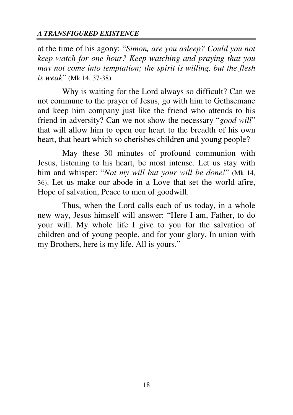at the time of his agony: "*Simon, are you asleep? Could you not keep watch for one hour? Keep watching and praying that you may not come into temptation; the spirit is willing, but the flesh is weak*" (Mk 14, 37-38).

Why is waiting for the Lord always so difficult? Can we not commune to the prayer of Jesus, go with him to Gethsemane and keep him company just like the friend who attends to his friend in adversity? Can we not show the necessary "*good will*" that will allow him to open our heart to the breadth of his own heart, that heart which so cherishes children and young people?

May these 30 minutes of profound communion with Jesus, listening to his heart, be most intense. Let us stay with him and whisper: "*Not my will but your will be done!*" (Mk 14, 36). Let us make our abode in a Love that set the world afire, Hope of salvation, Peace to men of goodwill.

Thus, when the Lord calls each of us today, in a whole new way, Jesus himself will answer: "Here I am, Father, to do your will. My whole life I give to you for the salvation of children and of young people, and for your glory. In union with my Brothers, here is my life. All is yours."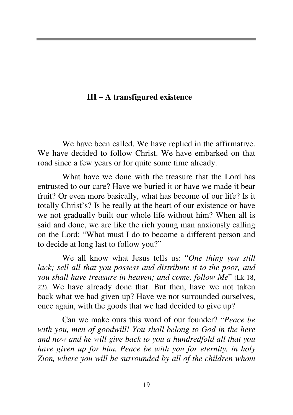## **III – A transfigured existence**

We have been called. We have replied in the affirmative. We have decided to follow Christ. We have embarked on that road since a few years or for quite some time already.

What have we done with the treasure that the Lord has entrusted to our care? Have we buried it or have we made it bear fruit? Or even more basically, what has become of our life? Is it totally Christ's? Is he really at the heart of our existence or have we not gradually built our whole life without him? When all is said and done, we are like the rich young man anxiously calling on the Lord: "What must I do to become a different person and to decide at long last to follow you?"

We all know what Jesus tells us: "*One thing you still lack; sell all that you possess and distribute it to the poor, and you shall have treasure in heaven; and come, follow Me*" (Lk 18, 22). We have already done that. But then, have we not taken back what we had given up? Have we not surrounded ourselves, once again, with the goods that we had decided to give up?

Can we make ours this word of our founder? "*Peace be with you, men of goodwill! You shall belong to God in the here and now and he will give back to you a hundredfold all that you have given up for him. Peace be with you for eternity, in holy Zion, where you will be surrounded by all of the children whom*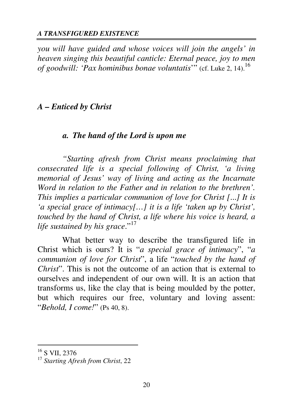*you will have guided and whose voices will join the angels' in heaven singing this beautiful canticle: Eternal peace, joy to men of goodwill: 'Pax hominibus bonae voluntatis*'" (cf. Luke 2, 14).<sup>16</sup>

## *A – Enticed by Christ*

## *a. The hand of the Lord is upon me*

*"Starting afresh from Christ means proclaiming that consecrated life is a special following of Christ, 'a living memorial of Jesus' way of living and acting as the Incarnate Word in relation to the Father and in relation to the brethren'. This implies a particular communion of love for Christ [*...*] It is 'a special grace of intimacy[…] it is a life 'taken up by Christ', touched by the hand of Christ, a life where his voice is heard, a life sustained by his grace.*"<sup>17</sup>

What better way to describe the transfigured life in Christ which is ours? It is "*a special grace of intimacy*", "*a communion of love for Christ*", a life "*touched by the hand of Christ*". This is not the outcome of an action that is external to ourselves and independent of our own will. It is an action that transforms us, like the clay that is being moulded by the potter, but which requires our free, voluntary and loving assent: "*Behold, I come!*" (Ps 40, 8).

<sup>&</sup>lt;sup>16</sup> S VII, 2376

<sup>17</sup> *Starting Afresh from Christ*, 22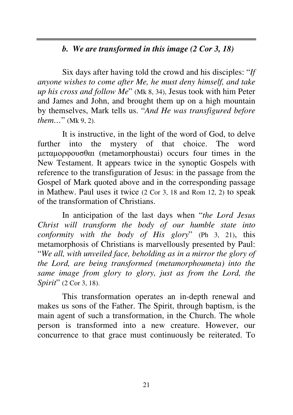# *b. We are transformed in this image (2 Cor 3, 18)*

Six days after having told the crowd and his disciples: "*If anyone wishes to come after Me, he must deny himself, and take up his cross and follow Me*" (Mk 8, 34), Jesus took with him Peter and James and John, and brought them up on a high mountain by themselves, Mark tells us. "*And He was transfigured before them…*" (Mk 9, 2).

It is instructive, in the light of the word of God, to delve further into the mystery of that choice. The word µεταµορφουσθαι (metamorphoustai) occurs four times in the New Testament. It appears twice in the synoptic Gospels with reference to the transfiguration of Jesus: in the passage from the Gospel of Mark quoted above and in the corresponding passage in Mathew. Paul uses it twice (2 Cor 3, 18 and Rom 12, 2) to speak of the transformation of Christians.

In anticipation of the last days when "*the Lord Jesus Christ will transform the body of our humble state into conformity with the body of His glory*" (Ph 3, 21), this metamorphosis of Christians is marvellously presented by Paul: "*We all, with unveiled face, beholding as in a mirror the glory of the Lord, are being transformed (metamorphoumeta) into the same image from glory to glory, just as from the Lord, the Spirit*" (2 Cor 3, 18).

This transformation operates an in-depth renewal and makes us sons of the Father. The Spirit, through baptism, is the main agent of such a transformation, in the Church. The whole person is transformed into a new creature. However, our concurrence to that grace must continuously be reiterated. To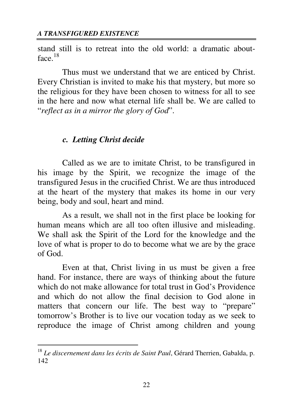stand still is to retreat into the old world: a dramatic aboutface.<sup>18</sup>

Thus must we understand that we are enticed by Christ. Every Christian is invited to make his that mystery, but more so the religious for they have been chosen to witness for all to see in the here and now what eternal life shall be. We are called to "*reflect as in a mirror the glory of God*".

## *c. Letting Christ decide*

 $\overline{a}$ 

Called as we are to imitate Christ, to be transfigured in his image by the Spirit, we recognize the image of the transfigured Jesus in the crucified Christ. We are thus introduced at the heart of the mystery that makes its home in our very being, body and soul, heart and mind.

As a result, we shall not in the first place be looking for human means which are all too often illusive and misleading. We shall ask the Spirit of the Lord for the knowledge and the love of what is proper to do to become what we are by the grace of God.

Even at that, Christ living in us must be given a free hand. For instance, there are ways of thinking about the future which do not make allowance for total trust in God's Providence and which do not allow the final decision to God alone in matters that concern our life. The best way to "prepare" tomorrow's Brother is to live our vocation today as we seek to reproduce the image of Christ among children and young

<sup>18</sup> *Le discernement dans les écrits de Saint Paul*, Gérard Therrien, Gabalda, p. 142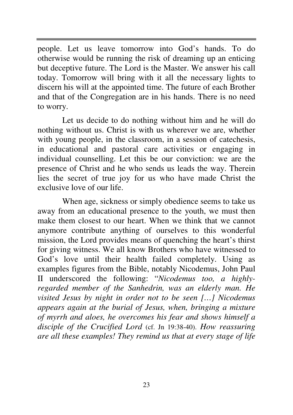people. Let us leave tomorrow into God's hands. To do otherwise would be running the risk of dreaming up an enticing but deceptive future. The Lord is the Master. We answer his call today. Tomorrow will bring with it all the necessary lights to discern his will at the appointed time. The future of each Brother and that of the Congregation are in his hands. There is no need to worry.

Let us decide to do nothing without him and he will do nothing without us. Christ is with us wherever we are, whether with young people, in the classroom, in a session of catechesis, in educational and pastoral care activities or engaging in individual counselling. Let this be our conviction: we are the presence of Christ and he who sends us leads the way. Therein lies the secret of true joy for us who have made Christ the exclusive love of our life.

When age, sickness or simply obedience seems to take us away from an educational presence to the youth, we must then make them closest to our heart. When we think that we cannot anymore contribute anything of ourselves to this wonderful mission, the Lord provides means of quenching the heart's thirst for giving witness. We all know Brothers who have witnessed to God's love until their health failed completely. Using as examples figures from the Bible, notably Nicodemus, John Paul II underscored the following: "*Nicodemus too, a highlyregarded member of the Sanhedrin, was an elderly man. He visited Jesus by night in order not to be seen […] Nicodemus appears again at the burial of Jesus, when, bringing a mixture of myrrh and aloes, he overcomes his fear and shows himself a disciple of the Crucified Lord* (cf. Jn 19:38-40). *How reassuring are all these examples! They remind us that at every stage of life*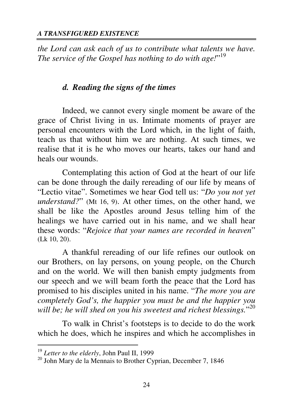*the Lord can ask each of us to contribute what talents we have. The service of the Gospel has nothing to do with age!*" 19

## *d. Reading the signs of the times*

Indeed, we cannot every single moment be aware of the grace of Christ living in us. Intimate moments of prayer are personal encounters with the Lord which, in the light of faith, teach us that without him we are nothing. At such times, we realise that it is he who moves our hearts, takes our hand and heals our wounds.

Contemplating this action of God at the heart of our life can be done through the daily rereading of our life by means of "Lectio vitae". Sometimes we hear God tell us: "*Do you not yet understand?*" (Mt 16, 9). At other times, on the other hand, we shall be like the Apostles around Jesus telling him of the healings we have carried out in his name, and we shall hear these words: "*Rejoice that your names are recorded in heaven*" (Lk 10, 20).

A thankful rereading of our life refines our outlook on our Brothers, on lay persons, on young people, on the Church and on the world. We will then banish empty judgments from our speech and we will beam forth the peace that the Lord has promised to his disciples united in his name. "*The more you are completely God's, the happier you must be and the happier you will be; he will shed on you his sweetest and richest blessings.*" 20

To walk in Christ's footsteps is to decide to do the work which he does, which he inspires and which he accomplishes in

<sup>19</sup> *Letter to the elderly*, John Paul II, 1999

 $20$  John Mary de la Mennais to Brother Cyprian, December 7, 1846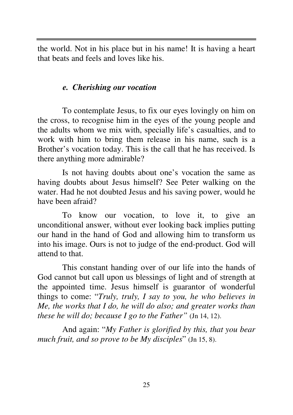the world. Not in his place but in his name! It is having a heart that beats and feels and loves like his.

## *e. Cherishing our vocation*

To contemplate Jesus, to fix our eyes lovingly on him on the cross, to recognise him in the eyes of the young people and the adults whom we mix with, specially life's casualties, and to work with him to bring them release in his name, such is a Brother's vocation today. This is the call that he has received. Is there anything more admirable?

Is not having doubts about one's vocation the same as having doubts about Jesus himself? See Peter walking on the water. Had he not doubted Jesus and his saving power, would he have been afraid?

To know our vocation, to love it, to give an unconditional answer, without ever looking back implies putting our hand in the hand of God and allowing him to transform us into his image. Ours is not to judge of the end-product. God will attend to that.

This constant handing over of our life into the hands of God cannot but call upon us blessings of light and of strength at the appointed time. Jesus himself is guarantor of wonderful things to come: "*Truly, truly, I say to you, he who believes in Me, the works that I do, he will do also; and greater works than these he will do; because I go to the Father"* (Jn 14, 12).

And again: "*My Father is glorified by this, that you bear much fruit, and so prove to be My disciples*" (Jn 15, 8).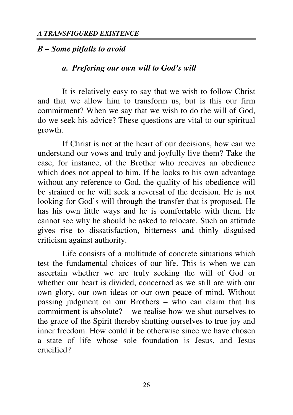#### *B – Some pitfalls to avoid*

#### *a. Prefering our own will to God's will*

It is relatively easy to say that we wish to follow Christ and that we allow him to transform us, but is this our firm commitment? When we say that we wish to do the will of God, do we seek his advice? These questions are vital to our spiritual growth.

If Christ is not at the heart of our decisions, how can we understand our vows and truly and joyfully live them? Take the case, for instance, of the Brother who receives an obedience which does not appeal to him. If he looks to his own advantage without any reference to God, the quality of his obedience will be strained or he will seek a reversal of the decision. He is not looking for God's will through the transfer that is proposed. He has his own little ways and he is comfortable with them. He cannot see why he should be asked to relocate. Such an attitude gives rise to dissatisfaction, bitterness and thinly disguised criticism against authority.

Life consists of a multitude of concrete situations which test the fundamental choices of our life. This is when we can ascertain whether we are truly seeking the will of God or whether our heart is divided, concerned as we still are with our own glory, our own ideas or our own peace of mind. Without passing judgment on our Brothers – who can claim that his commitment is absolute? – we realise how we shut ourselves to the grace of the Spirit thereby shutting ourselves to true joy and inner freedom. How could it be otherwise since we have chosen a state of life whose sole foundation is Jesus, and Jesus crucified?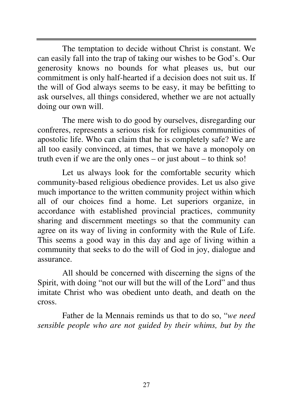The temptation to decide without Christ is constant. We can easily fall into the trap of taking our wishes to be God's. Our generosity knows no bounds for what pleases us, but our commitment is only half-hearted if a decision does not suit us. If the will of God always seems to be easy, it may be befitting to ask ourselves, all things considered, whether we are not actually doing our own will.

The mere wish to do good by ourselves, disregarding our confreres, represents a serious risk for religious communities of apostolic life. Who can claim that he is completely safe? We are all too easily convinced, at times, that we have a monopoly on truth even if we are the only ones – or just about – to think so!

Let us always look for the comfortable security which community-based religious obedience provides. Let us also give much importance to the written community project within which all of our choices find a home. Let superiors organize, in accordance with established provincial practices, community sharing and discernment meetings so that the community can agree on its way of living in conformity with the Rule of Life. This seems a good way in this day and age of living within a community that seeks to do the will of God in joy, dialogue and assurance.

All should be concerned with discerning the signs of the Spirit, with doing "not our will but the will of the Lord" and thus imitate Christ who was obedient unto death, and death on the cross.

Father de la Mennais reminds us that to do so, "*we need sensible people who are not guided by their whims, but by the*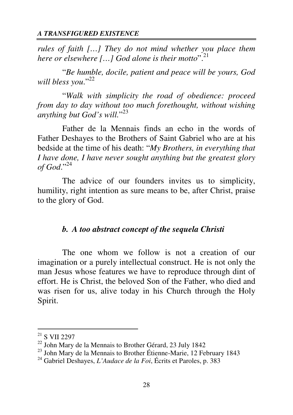*rules of faith […] They do not mind whether you place them here or elsewhere […] God alone is their motto*".<sup>21</sup>

"*Be humble, docile, patient and peace will be yours, God*  will bless you."<sup>22</sup>

"*Walk with simplicity the road of obedience: proceed from day to day without too much forethought, without wishing anything but God's will.*" 23

Father de la Mennais finds an echo in the words of Father Deshayes to the Brothers of Saint Gabriel who are at his bedside at the time of his death: "*My Brothers, in everything that I have done, I have never sought anything but the greatest glory of God*."<sup>24</sup>

The advice of our founders invites us to simplicity, humility, right intention as sure means to be, after Christ, praise to the glory of God.

## *b. A too abstract concept of the sequela Christi*

The one whom we follow is not a creation of our imagination or a purely intellectual construct. He is not only the man Jesus whose features we have to reproduce through dint of effort. He is Christ, the beloved Son of the Father, who died and was risen for us, alive today in his Church through the Holy Spirit.

 $^{21}$  S VII 2297

<sup>22</sup> John Mary de la Mennais to Brother Gérard, 23 July 1842

<sup>&</sup>lt;sup>23</sup> John Mary de la Mennais to Brother Étienne-Marie, 12 February 1843

<sup>24</sup> Gabriel Deshayes, *L'Audace de la Foi*, Écrits et Paroles, p. 383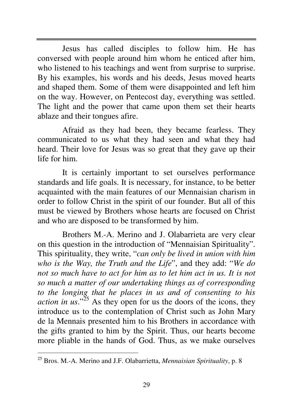Jesus has called disciples to follow him. He has conversed with people around him whom he enticed after him, who listened to his teachings and went from surprise to surprise. By his examples, his words and his deeds, Jesus moved hearts and shaped them. Some of them were disappointed and left him on the way. However, on Pentecost day, everything was settled. The light and the power that came upon them set their hearts ablaze and their tongues afire.

Afraid as they had been, they became fearless. They communicated to us what they had seen and what they had heard. Their love for Jesus was so great that they gave up their life for him.

It is certainly important to set ourselves performance standards and life goals. It is necessary, for instance, to be better acquainted with the main features of our Mennaisian charism in order to follow Christ in the spirit of our founder. But all of this must be viewed by Brothers whose hearts are focused on Christ and who are disposed to be transformed by him.

Brothers M.-A. Merino and J. Olabarrieta are very clear on this question in the introduction of "Mennaisian Spirituality". This spirituality, they write, "*can only be lived in union with him who is the Way, the Truth and the Life*", and they add: "*We do not so much have to act for him as to let him act in us. It is not so much a matter of our undertaking things as of corresponding to the longing that he places in us and of consenting to his action in us.*<sup> $25$ </sup> As they open for us the doors of the icons, they introduce us to the contemplation of Christ such as John Mary de la Mennais presented him to his Brothers in accordance with the gifts granted to him by the Spirit. Thus, our hearts become more pliable in the hands of God. Thus, as we make ourselves

<sup>25</sup> Bros. M.-A. Merino and J.F. Olabarrietta, *Mennaisian Spirituality*, p. 8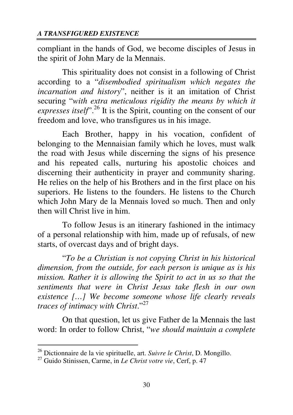compliant in the hands of God, we become disciples of Jesus in the spirit of John Mary de la Mennais.

This spirituality does not consist in a following of Christ according to a "*disembodied spiritualism which negates the incarnation and history*", neither is it an imitation of Christ securing "*with extra meticulous rigidity the means by which it expresses itself*".<sup>26</sup> It is the Spirit, counting on the consent of our freedom and love, who transfigures us in his image.

Each Brother, happy in his vocation, confident of belonging to the Mennaisian family which he loves, must walk the road with Jesus while discerning the signs of his presence and his repeated calls, nurturing his apostolic choices and discerning their authenticity in prayer and community sharing. He relies on the help of his Brothers and in the first place on his superiors. He listens to the founders. He listens to the Church which John Mary de la Mennais loved so much. Then and only then will Christ live in him.

To follow Jesus is an itinerary fashioned in the intimacy of a personal relationship with him, made up of refusals, of new starts, of overcast days and of bright days.

"*To be a Christian is not copying Christ in his historical dimension, from the outside, for each person is unique as is his mission. Rather it is allowing the Spirit to act in us so that the sentiments that were in Christ Jesus take flesh in our own existence […] We become someone whose life clearly reveals traces of intimacy with Christ*."<sup>27</sup>

On that question, let us give Father de la Mennais the last word: In order to follow Christ, "*we should maintain a complete* 

<sup>26</sup> Dictionnaire de la vie spirituelle, art. *Suivre le Christ*, D. Mongillo.

<sup>27</sup> Guido Stinissen, Carme, in *Le Christ votre vie*, Cerf, p. 47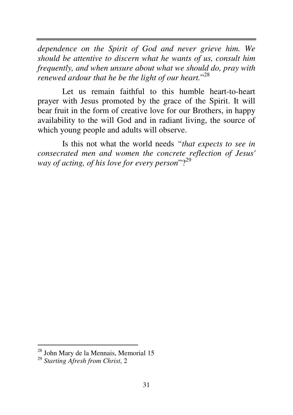*dependence on the Spirit of God and never grieve him. We should be attentive to discern what he wants of us, consult him frequently, and when unsure about what we should do, pray with renewed ardour that he be the light of our heart.*" 28

Let us remain faithful to this humble heart-to-heart prayer with Jesus promoted by the grace of the Spirit. It will bear fruit in the form of creative love for our Brothers, in happy availability to the will God and in radiant living, the source of which young people and adults will observe.

Is this not what the world needs *"that expects to see in consecrated men and women the concrete reflection of Jesus' way of acting, of his love for every person*"?<sup>29</sup>

<sup>&</sup>lt;sup>28</sup> John Mary de la Mennais, Memorial 15

<sup>29</sup> *Starting Afresh from Christ*, 2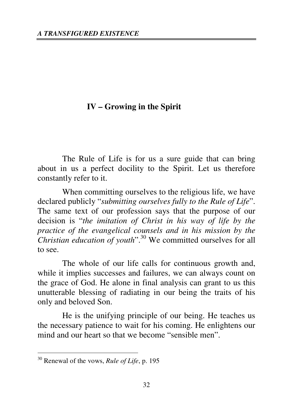# **IV – Growing in the Spirit**

The Rule of Life is for us a sure guide that can bring about in us a perfect docility to the Spirit. Let us therefore constantly refer to it.

When committing ourselves to the religious life, we have declared publicly "*submitting ourselves fully to the Rule of Life*". The same text of our profession says that the purpose of our decision is "*the imitation of Christ in his way of life by the practice of the evangelical counsels and in his mission by the Christian education of youth*".<sup>30</sup> We committed ourselves for all to see.

The whole of our life calls for continuous growth and, while it implies successes and failures, we can always count on the grace of God. He alone in final analysis can grant to us this unutterable blessing of radiating in our being the traits of his only and beloved Son.

He is the unifying principle of our being. He teaches us the necessary patience to wait for his coming. He enlightens our mind and our heart so that we become "sensible men".

<sup>30</sup> Renewal of the vows, *Rule of Life*, p. 195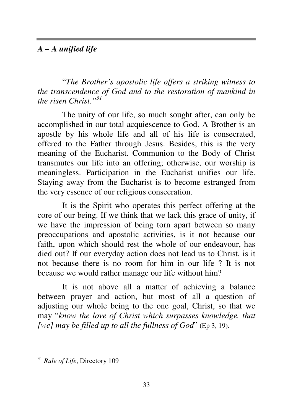# *A – A unified life*

"*The Brother's apostolic life offers a striking witness to the transcendence of God and to the restoration of mankind in the risen Christ."<sup>31</sup>*

The unity of our life, so much sought after, can only be accomplished in our total acquiescence to God. A Brother is an apostle by his whole life and all of his life is consecrated, offered to the Father through Jesus. Besides, this is the very meaning of the Eucharist. Communion to the Body of Christ transmutes our life into an offering; otherwise, our worship is meaningless. Participation in the Eucharist unifies our life. Staying away from the Eucharist is to become estranged from the very essence of our religious consecration.

It is the Spirit who operates this perfect offering at the core of our being. If we think that we lack this grace of unity, if we have the impression of being torn apart between so many preoccupations and apostolic activities, is it not because our faith, upon which should rest the whole of our endeavour, has died out? If our everyday action does not lead us to Christ, is it not because there is no room for him in our life ? It is not because we would rather manage our life without him?

It is not above all a matter of achieving a balance between prayer and action, but most of all a question of adjusting our whole being to the one goal, Christ, so that we may "*know the love of Christ which surpasses knowledge, that [we] may be filled up to all the fullness of God*" (Ep 3, 19).

<sup>31</sup> *Rule of Life*, Directory 109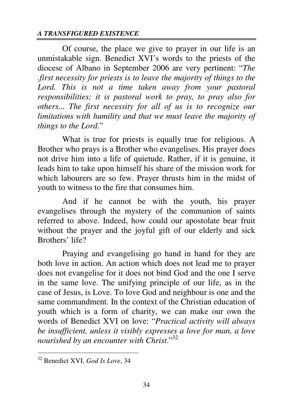Of course, the place we give to prayer in our life is an unmistakable sign. Benedict XVI's words to the priests of the diocese of Albano in September 2006 are very pertinent: "*The .first necessity for priests is to leave the majority of things to the Lord. This is not a time taken away from your pastoral responsibilities; it is pastoral work to pray, to pray also for others... The first necessity for all of us is to recognize our limitations with humility and that we must leave the majority of things to the Lord*."

What is true for priests is equally true for religious. A Brother who prays is a Brother who evangelises. His prayer does not drive him into a life of quietude. Rather, if it is genuine, it leads him to take upon himself his share of the mission work for which labourers are so few. Prayer thrusts him in the midst of youth to witness to the fire that consumes him.

And if he cannot be with the youth, his prayer evangelises through the mystery of the communion of saints referred to above. Indeed, how could our apostolate bear fruit without the prayer and the joyful gift of our elderly and sick Brothers' life?

Praying and evangelising go hand in hand for they are both love in action. An action which does not lead me to prayer does not evangelise for it does not bind God and the one I serve in the same love. The unifying principle of our life, as in the case of Jesus, is Love. To love God and neighbour is one and the same commandment. In the context of the Christian education of youth which is a form of charity, we can make our own the words of Benedict XVI on love: "*Practical activity will always be insufficient, unless it visibly expresses a love for man, a love nourished by an encounter with Christ*."<sup>32</sup>

<sup>32</sup> Benedict XVI, *God Is Love*, 34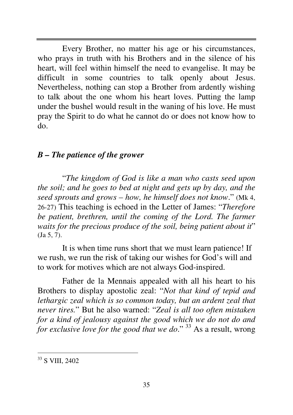Every Brother, no matter his age or his circumstances, who prays in truth with his Brothers and in the silence of his heart, will feel within himself the need to evangelise. It may be difficult in some countries to talk openly about Jesus. Nevertheless, nothing can stop a Brother from ardently wishing to talk about the one whom his heart loves. Putting the lamp under the bushel would result in the waning of his love. He must pray the Spirit to do what he cannot do or does not know how to do.

## *B – The patience of the grower*

"*The kingdom of God is like a man who casts seed upon the soil; and he goes to bed at night and gets up by day, and the seed sprouts and grows – how, he himself does not know*." (Mk 4, 26-27) This teaching is echoed in the Letter of James: "*Therefore be patient, brethren, until the coming of the Lord. The farmer waits for the precious produce of the soil, being patient about it*" (Ja 5, 7).

It is when time runs short that we must learn patience! If we rush, we run the risk of taking our wishes for God's will and to work for motives which are not always God-inspired.

 Father de la Mennais appealed with all his heart to his Brothers to display apostolic zeal: "*Not that kind of tepid and lethargic zeal which is so common today, but an ardent zeal that never tires.*" But he also warned: "*Zeal is all too often mistaken for a kind of jealousy against the good which we do not do and for exclusive love for the good that we do.*"<sup>33</sup> As a result, wrong

 $\overline{a}$ <sup>33</sup> S VIII, 2402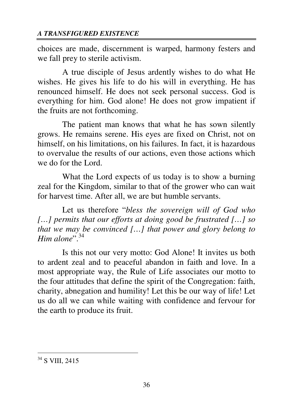choices are made, discernment is warped, harmony festers and we fall prey to sterile activism.

A true disciple of Jesus ardently wishes to do what He wishes. He gives his life to do his will in everything. He has renounced himself. He does not seek personal success. God is everything for him. God alone! He does not grow impatient if the fruits are not forthcoming.

The patient man knows that what he has sown silently grows. He remains serene. His eyes are fixed on Christ, not on himself, on his limitations, on his failures. In fact, it is hazardous to overvalue the results of our actions, even those actions which we do for the Lord.

What the Lord expects of us today is to show a burning zeal for the Kingdom, similar to that of the grower who can wait for harvest time. After all, we are but humble servants.

Let us therefore "*bless the sovereign will of God who […] permits that our efforts at doing good be frustrated […] so that we may be convinced […] that power and glory belong to Him alone*".  $34$ 

Is this not our very motto: God Alone! It invites us both to ardent zeal and to peaceful abandon in faith and love. In a most appropriate way, the Rule of Life associates our motto to the four attitudes that define the spirit of the Congregation: faith, charity, abnegation and humility! Let this be our way of life! Let us do all we can while waiting with confidence and fervour for the earth to produce its fruit.

<sup>&</sup>lt;sup>34</sup> S VIII, 2415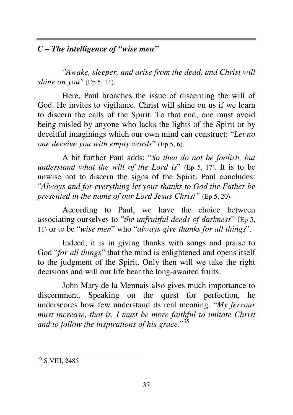# *C – The intelligence of "wise men"*

*"Awake, sleeper, and arise from the dead, and Christ will shine on you"* (Ep 5, 14).

Here, Paul broaches the issue of discerning the will of God. He invites to vigilance. Christ will shine on us if we learn to discern the calls of the Spirit. To that end, one must avoid being misled by anyone who lacks the lights of the Spirit or by deceitful imaginings which our own mind can construct: "*Let no one deceive you with empty words*" (Ep 5, 6).

A bit further Paul adds: "*So then do not be foolish, but understand what the will of the Lord is*" (Ep 5, 17). It is to be unwise not to discern the signs of the Spirit. Paul concludes: "*Always and for everything let your thanks to God the Father be presented in the name of our Lord Jesus Christ"* (Ep 5, 20).

According to Paul, we have the choice between associating ourselves to "*the unfruitful deeds of darkness*" (Ep 5, 11) or to be "*wise men*" who "*always give thanks for all things*".

Indeed, it is in giving thanks with songs and praise to God "*for all things*" that the mind is enlightened and opens itself to the judgment of the Spirit. Only then will we take the right decisions and will our life bear the long-awaited fruits.

John Mary de la Mennais also gives much importance to discernment. Speaking on the quest for perfection, he underscores how few understand its real meaning. "*My fervour must increase, that is, I must be more faithful to imitate Christ and to follow the inspirations of his grace*."<sup>35</sup>

 $\overline{a}$ <sup>35</sup> S VIII, 2485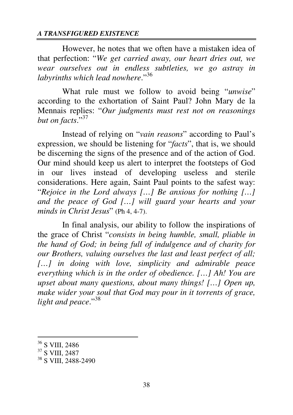However, he notes that we often have a mistaken idea of that perfection: "*We get carried away, our heart dries out, we wear ourselves out in endless subtleties, we go astray in labyrinths which lead nowhere.*"<sup>36</sup>

What rule must we follow to avoid being "*unwise*" according to the exhortation of Saint Paul? John Mary de la Mennais replies: "*Our judgments must rest not on reasonings but on facts*."<sup>37</sup>

Instead of relying on "*vain reasons*" according to Paul's expression, we should be listening for "*facts*", that is, we should be discerning the signs of the presence and of the action of God. Our mind should keep us alert to interpret the footsteps of God in our lives instead of developing useless and sterile considerations. Here again, Saint Paul points to the safest way: "*Rejoice in the Lord always […] Be anxious for nothing […] and the peace of God […] will guard your hearts and your minds in Christ Jesus*" (Ph 4, 4-7).

In final analysis, our ability to follow the inspirations of the grace of Christ "*consists in being humble, small, pliable in the hand of God; in being full of indulgence and of charity for our Brothers, valuing ourselves the last and least perfect of all; […] in doing with love, simplicity and admirable peace everything which is in the order of obedience. […] Ah! You are upset about many questions, about many things! […] Open up, make wider your soul that God may pour in it torrents of grace, light and peace*."<sup>38</sup>

<sup>36</sup> S VIII, 2486

<sup>37</sup> S VIII, 2487

<sup>&</sup>lt;sup>38</sup> S VIII, 2488-2490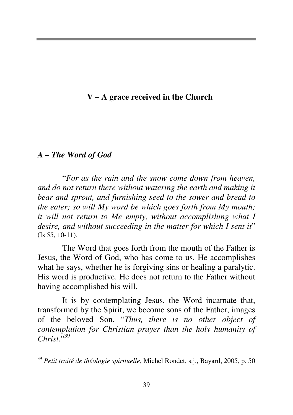# **V – A grace received in the Church**

## *A – The Word of God*

 $\overline{a}$ 

"*For as the rain and the snow come down from heaven, and do not return there without watering the earth and making it bear and sprout, and furnishing seed to the sower and bread to the eater; so will My word be which goes forth from My mouth; it will not return to Me empty, without accomplishing what I desire, and without succeeding in the matter for which I sent it*" (Is 55, 10-11).

The Word that goes forth from the mouth of the Father is Jesus, the Word of God, who has come to us. He accomplishes what he says, whether he is forgiving sins or healing a paralytic. His word is productive. He does not return to the Father without having accomplished his will.

It is by contemplating Jesus, the Word incarnate that, transformed by the Spirit, we become sons of the Father, images of the beloved Son. "*Thus, there is no other object of contemplation for Christian prayer than the holy humanity of*   $Christ$ <sup>5,39</sup>

<sup>39</sup> *Petit traité de théologie spirituelle*, Michel Rondet, s.j., Bayard, 2005, p. 50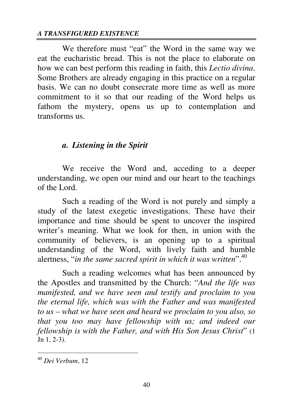We therefore must "eat" the Word in the same way we eat the eucharistic bread. This is not the place to elaborate on how we can best perform this reading in faith, this *Lectio divina*. Some Brothers are already engaging in this practice on a regular basis. We can no doubt consecrate more time as well as more commitment to it so that our reading of the Word helps us fathom the mystery, opens us up to contemplation and transforms us.

## *a. Listening in the Spirit*

We receive the Word and, acceding to a deeper understanding, we open our mind and our heart to the teachings of the Lord.

Such a reading of the Word is not purely and simply a study of the latest exegetic investigations. These have their importance and time should be spent to uncover the inspired writer's meaning. What we look for then, in union with the community of believers, is an opening up to a spiritual understanding of the Word, with lively faith and humble alertness, "*in the same sacred spirit in which it was written*".<sup>40</sup>

Such a reading welcomes what has been announced by the Apostles and transmitted by the Church: "*And the life was manifested, and we have seen and testify and proclaim to you the eternal life, which was with the Father and was manifested to us – what we have seen and heard we proclaim to you also, so that you too may have fellowship with us; and indeed our fellowship is with the Father, and with His Son Jesus Christ*" (1 Jn 1, 2-3).

<sup>40</sup> *Dei Verbum*, 12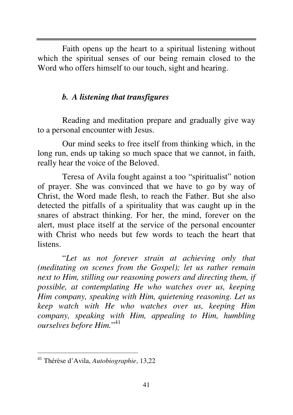Faith opens up the heart to a spiritual listening without which the spiritual senses of our being remain closed to the Word who offers himself to our touch, sight and hearing.

## *b. A listening that transfigures*

Reading and meditation prepare and gradually give way to a personal encounter with Jesus.

Our mind seeks to free itself from thinking which, in the long run, ends up taking so much space that we cannot, in faith, really hear the voice of the Beloved.

Teresa of Avila fought against a too "spiritualist" notion of prayer. She was convinced that we have to go by way of Christ, the Word made flesh, to reach the Father. But she also detected the pitfalls of a spirituality that was caught up in the snares of abstract thinking. For her, the mind, forever on the alert, must place itself at the service of the personal encounter with Christ who needs but few words to teach the heart that listens.

"*Let us not forever strain at achieving only that (meditating on scenes from the Gospel); let us rather remain next to Him, stilling our reasoning powers and directing them, if possible, at contemplating He who watches over us, keeping Him company, speaking with Him, quietening reasoning. Let us keep watch with He who watches over us, keeping Him company, speaking with Him, appealing to Him, humbling ourselves before Him.*" 41

<sup>41</sup> Thérèse d'Avila, *Autobiographie*, 13,22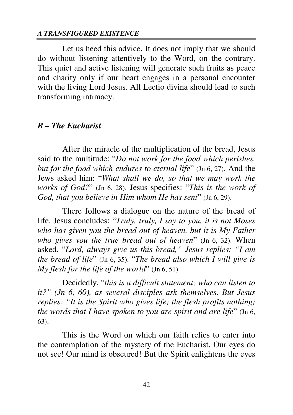Let us heed this advice. It does not imply that we should do without listening attentively to the Word, on the contrary. This quiet and active listening will generate such fruits as peace and charity only if our heart engages in a personal encounter with the living Lord Jesus. All Lectio divina should lead to such transforming intimacy.

#### *B – The Eucharist*

After the miracle of the multiplication of the bread, Jesus said to the multitude: "*Do not work for the food which perishes, but for the food which endures to eternal life*" (Jn 6, 27). And the Jews asked him: "*What shall we do, so that we may work the works of God?*" (Jn 6, 28). Jesus specifies: "*This is the work of God, that you believe in Him whom He has sent*" (Jn 6, 29).

There follows a dialogue on the nature of the bread of life. Jesus concludes: "*Truly, truly, I say to you, it is not Moses who has given you the bread out of heaven, but it is My Father who gives you the true bread out of heaven*" (Jn 6, 32). When asked, "*Lord, always give us this bread," Jesus replies: "I am the bread of life*" (Jn 6, 35). "*The bread also which I will give is My flesh for the life of the world*" (Jn 6, 51).

Decidedly, "*this is a difficult statement; who can listen to it?" (Jn 6, 60), as several disciples ask themselves. But Jesus replies: "It is the Spirit who gives life; the flesh profits nothing; the words that I have spoken to you are spirit and are life*" (Jn 6, 63).

This is the Word on which our faith relies to enter into the contemplation of the mystery of the Eucharist. Our eyes do not see! Our mind is obscured! But the Spirit enlightens the eyes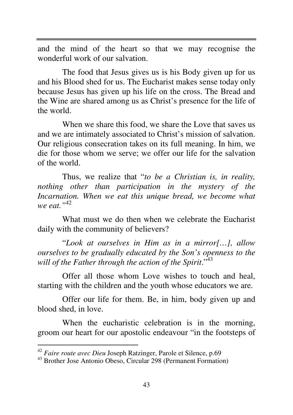and the mind of the heart so that we may recognise the wonderful work of our salvation.

The food that Jesus gives us is his Body given up for us and his Blood shed for us. The Eucharist makes sense today only because Jesus has given up his life on the cross. The Bread and the Wine are shared among us as Christ's presence for the life of the world.

When we share this food, we share the Love that saves us and we are intimately associated to Christ's mission of salvation. Our religious consecration takes on its full meaning. In him, we die for those whom we serve; we offer our life for the salvation of the world.

Thus, we realize that "*to be a Christian is, in reality, nothing other than participation in the mystery of the Incarnation. When we eat this unique bread, we become what we eat."*<sup>42</sup>

What must we do then when we celebrate the Eucharist daily with the community of believers?

"*Look at ourselves in Him as in a mirror[…], allow ourselves to be gradually educated by the Son's openness to the*  will of the Father through the action of the Spirit."<sup>43</sup>

Offer all those whom Love wishes to touch and heal, starting with the children and the youth whose educators we are.

Offer our life for them. Be, in him, body given up and blood shed, in love.

When the eucharistic celebration is in the morning, groom our heart for our apostolic endeavour "in the footsteps of

<sup>42</sup> *Faire route avec Dieu* Joseph Ratzinger, Parole et Silence, p.69

<sup>43</sup> Brother Jose Antonio Obeso, Circular 298 (Permanent Formation)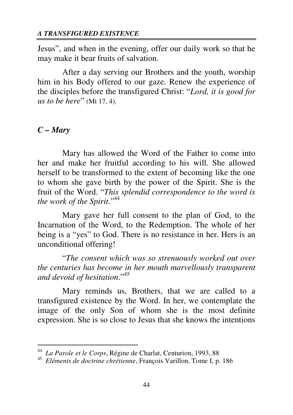Jesus", and when in the evening, offer our daily work so that he may make it bear fruits of salvation.

After a day serving our Brothers and the youth, worship him in his Body offered to our gaze. Renew the experience of the disciples before the transfigured Christ: "*Lord, it is good for us to be here*" (Mt 17, 4).

#### *C – Mary*

 $\overline{a}$ 

Mary has allowed the Word of the Father to come into her and make her fruitful according to his will. She allowed herself to be transformed to the extent of becoming like the one to whom she gave birth by the power of the Spirit. She is the fruit of the Word. "*This splendid correspondence to the word is the work of the Spirit*."<sup>44</sup>

Mary gave her full consent to the plan of God, to the Incarnation of the Word, to the Redemption. The whole of her being is a "yes" to God. There is no resistance in her. Hers is an unconditional offering!

"*The consent which was so strenuously worked out over the centuries has become in her mouth marvellously transparent and devoid of hesitation*."<sup>45</sup>

Mary reminds us, Brothers, that we are called to a transfigured existence by the Word. In her, we contemplate the image of the only Son of whom she is the most definite expression. She is so close to Jesus that she knows the intentions

<sup>44</sup> *La Parole et le Corps*, Régine de Charlat, Centurion, 1993, 88

<sup>45</sup> *Eléments de doctrine chrétienne*, François Varillon, Tome I, p. 186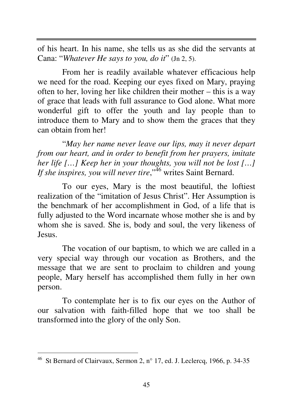of his heart. In his name, she tells us as she did the servants at Cana: "*Whatever He says to you, do it*" (Jn 2, 5).

From her is readily available whatever efficacious help we need for the road. Keeping our eyes fixed on Mary, praying often to her, loving her like children their mother – this is a way of grace that leads with full assurance to God alone. What more wonderful gift to offer the youth and lay people than to introduce them to Mary and to show them the graces that they can obtain from her!

"*May her name never leave our lips, may it never depart from our heart, and in order to benefit from her prayers, imitate her life […] Keep her in your thoughts, you will not be lost […] If she inspires, you will never tire*,"<sup>46</sup> writes Saint Bernard.

To our eyes, Mary is the most beautiful, the loftiest realization of the "imitation of Jesus Christ". Her Assumption is the benchmark of her accomplishment in God, of a life that is fully adjusted to the Word incarnate whose mother she is and by whom she is saved. She is, body and soul, the very likeness of Jesus.

The vocation of our baptism, to which we are called in a very special way through our vocation as Brothers, and the message that we are sent to proclaim to children and young people, Mary herself has accomplished them fully in her own person.

To contemplate her is to fix our eyes on the Author of our salvation with faith-filled hope that we too shall be transformed into the glory of the only Son.

<sup>46</sup> St Bernard of Clairvaux, Sermon 2, n° 17, ed. J. Leclercq, 1966, p. 34-35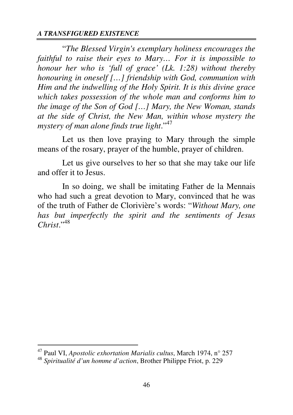"*The Blessed Virgin's exemplary holiness encourages the faithful to raise their eyes to Mary… For it is impossible to honour her who is 'full of grace' (Lk. 1:28) without thereby honouring in oneself […] friendship with God, communion with Him and the indwelling of the Holy Spirit. It is this divine grace which takes possession of the whole man and conforms him to the image of the Son of God […] Mary, the New Woman, stands at the side of Christ, the New Man, within whose mystery the mystery of man alone finds true light*."<sup>47</sup>

Let us then love praying to Mary through the simple means of the rosary, prayer of the humble, prayer of children.

Let us give ourselves to her so that she may take our life and offer it to Jesus.

In so doing, we shall be imitating Father de la Mennais who had such a great devotion to Mary, convinced that he was of the truth of Father de Clorivière's words: "*Without Mary, one has but imperfectly the spirit and the sentiments of Jesus Christ*."<sup>48</sup>

<sup>47</sup> Paul VI, *Apostolic exhortation Marialis cultus*, March 1974, n° 257

<sup>48</sup> *Spiritualité d'un homme d'action*, Brother Philippe Friot, p. 229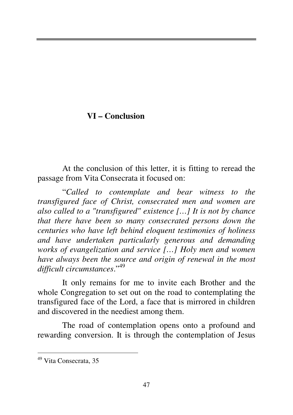# **VI – Conclusion**

At the conclusion of this letter, it is fitting to reread the passage from Vita Consecrata it focused on:

"*Called to contemplate and bear witness to the transfigured face of Christ, consecrated men and women are also called to a "transfigured" existence […] It is not by chance that there have been so many consecrated persons down the centuries who have left behind eloquent testimonies of holiness and have undertaken particularly generous and demanding works of evangelization and service […] Holy men and women have always been the source and origin of renewal in the most difficult circumstances*."<sup>49</sup>

It only remains for me to invite each Brother and the whole Congregation to set out on the road to contemplating the transfigured face of the Lord, a face that is mirrored in children and discovered in the neediest among them.

The road of contemplation opens onto a profound and rewarding conversion. It is through the contemplation of Jesus

<sup>49</sup> Vita Consecrata, 35